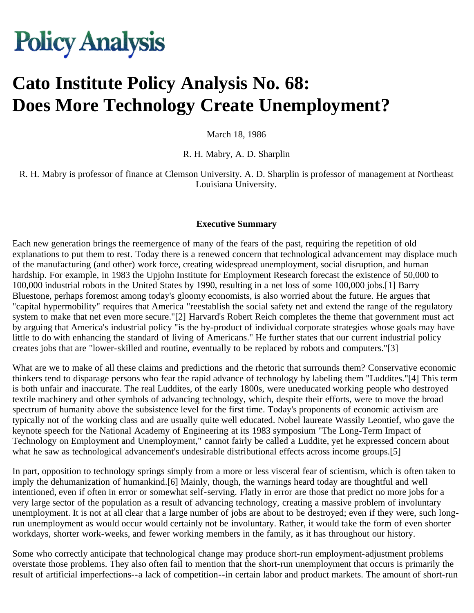# **Policy Analysis**

# **Cato Institute Policy Analysis No. 68: Does More Technology Create Unemployment?**

March 18, 1986

R. H. Mabry, A. D. Sharplin

R. H. Mabry is professor of finance at Clemson University. A. D. Sharplin is professor of management at Northeast Louisiana University.

#### **Executive Summary**

Each new generation brings the reemergence of many of the fears of the past, requiring the repetition of old explanations to put them to rest. Today there is a renewed concern that technological advancement may displace much of the manufacturing (and other) work force, creating widespread unemployment, social disruption, and human hardship. For example, in 1983 the Upjohn Institute for Employment Research forecast the existence of 50,000 to 100,000 industrial robots in the United States by 1990, resulting in a net loss of some 100,000 jobs.[1] Barry Bluestone, perhaps foremost among today's gloomy economists, is also worried about the future. He argues that "capital hypermobility" requires that America "reestablish the social safety net and extend the range of the regulatory system to make that net even more secure."[2] Harvard's Robert Reich completes the theme that government must act by arguing that America's industrial policy "is the by-product of individual corporate strategies whose goals may have little to do with enhancing the standard of living of Americans." He further states that our current industrial policy creates jobs that are "lower-skilled and routine, eventually to be replaced by robots and computers."[3]

What are we to make of all these claims and predictions and the rhetoric that surrounds them? Conservative economic thinkers tend to disparage persons who fear the rapid advance of technology by labeling them "Luddites."[4] This term is both unfair and inaccurate. The real Luddites, of the early 1800s, were uneducated working people who destroyed textile machinery and other symbols of advancing technology, which, despite their efforts, were to move the broad spectrum of humanity above the subsistence level for the first time. Today's proponents of economic activism are typically not of the working class and are usually quite well educated. Nobel laureate Wassily Leontief, who gave the keynote speech for the National Academy of Engineering at its 1983 symposium "The Long-Term Impact of Technology on Employment and Unemployment," cannot fairly be called a Luddite, yet he expressed concern about what he saw as technological advancement's undesirable distributional effects across income groups.[5]

In part, opposition to technology springs simply from a more or less visceral fear of scientism, which is often taken to imply the dehumanization of humankind.[6] Mainly, though, the warnings heard today are thoughtful and well intentioned, even if often in error or somewhat self-serving. Flatly in error are those that predict no more jobs for a very large sector of the population as a result of advancing technology, creating a massive problem of involuntary unemployment. It is not at all clear that a large number of jobs are about to be destroyed; even if they were, such longrun unemployment as would occur would certainly not be involuntary. Rather, it would take the form of even shorter workdays, shorter work-weeks, and fewer working members in the family, as it has throughout our history.

Some who correctly anticipate that technological change may produce short-run employment-adjustment problems overstate those problems. They also often fail to mention that the short-run unemployment that occurs is primarily the result of artificial imperfections--a lack of competition--in certain labor and product markets. The amount of short-run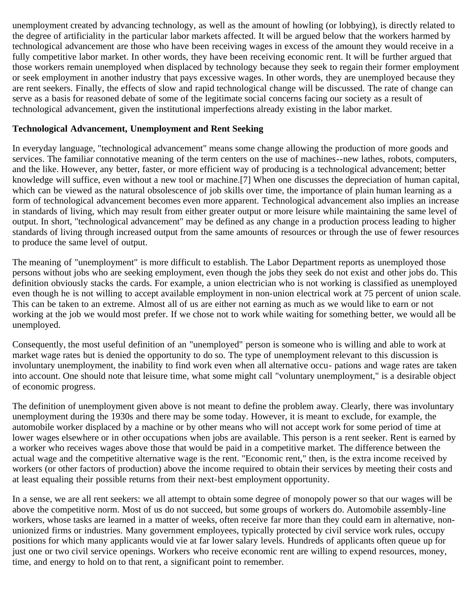unemployment created by advancing technology, as well as the amount of howling (or lobbying), is directly related to the degree of artificiality in the particular labor markets affected. It will be argued below that the workers harmed by technological advancement are those who have been receiving wages in excess of the amount they would receive in a fully competitive labor market. In other words, they have been receiving economic rent. It will be further argued that those workers remain unemployed when displaced by technology because they seek to regain their former employment or seek employment in another industry that pays excessive wages. In other words, they are unemployed because they are rent seekers. Finally, the effects of slow and rapid technological change will be discussed. The rate of change can serve as a basis for reasoned debate of some of the legitimate social concerns facing our society as a result of technological advancement, given the institutional imperfections already existing in the labor market.

#### **Technological Advancement, Unemployment and Rent Seeking**

In everyday language, "technological advancement" means some change allowing the production of more goods and services. The familiar connotative meaning of the term centers on the use of machines--new lathes, robots, computers, and the like. However, any better, faster, or more efficient way of producing is a technological advancement; better knowledge will suffice, even without a new tool or machine.[7] When one discusses the depreciation of human capital, which can be viewed as the natural obsolescence of job skills over time, the importance of plain human learning as a form of technological advancement becomes even more apparent. Technological advancement also implies an increase in standards of living, which may result from either greater output or more leisure while maintaining the same level of output. In short, "technological advancement" may be defined as any change in a production process leading to higher standards of living through increased output from the same amounts of resources or through the use of fewer resources to produce the same level of output.

The meaning of "unemployment" is more difficult to establish. The Labor Department reports as unemployed those persons without jobs who are seeking employment, even though the jobs they seek do not exist and other jobs do. This definition obviously stacks the cards. For example, a union electrician who is not working is classified as unemployed even though he is not willing to accept available employment in non-union electrical work at 75 percent of union scale. This can be taken to an extreme. Almost all of us are either not earning as much as we would like to earn or not working at the job we would most prefer. If we chose not to work while waiting for something better, we would all be unemployed.

Consequently, the most useful definition of an "unemployed" person is someone who is willing and able to work at market wage rates but is denied the opportunity to do so. The type of unemployment relevant to this discussion is involuntary unemployment, the inability to find work even when all alternative occu- pations and wage rates are taken into account. One should note that leisure time, what some might call "voluntary unemployment," is a desirable object of economic progress.

The definition of unemployment given above is not meant to define the problem away. Clearly, there was involuntary unemployment during the 1930s and there may be some today. However, it is meant to exclude, for example, the automobile worker displaced by a machine or by other means who will not accept work for some period of time at lower wages elsewhere or in other occupations when jobs are available. This person is a rent seeker. Rent is earned by a worker who receives wages above those that would be paid in a competitive market. The difference between the actual wage and the competitive alternative wage is the rent. "Economic rent," then, is the extra income received by workers (or other factors of production) above the income required to obtain their services by meeting their costs and at least equaling their possible returns from their next-best employment opportunity.

In a sense, we are all rent seekers: we all attempt to obtain some degree of monopoly power so that our wages will be above the competitive norm. Most of us do not succeed, but some groups of workers do. Automobile assembly-line workers, whose tasks are learned in a matter of weeks, often receive far more than they could earn in alternative, nonunionized firms or industries. Many government employees, typically protected by civil service work rules, occupy positions for which many applicants would vie at far lower salary levels. Hundreds of applicants often queue up for just one or two civil service openings. Workers who receive economic rent are willing to expend resources, money, time, and energy to hold on to that rent, a significant point to remember.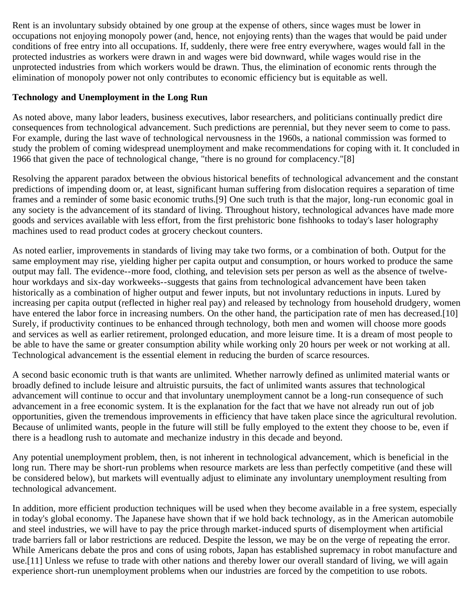Rent is an involuntary subsidy obtained by one group at the expense of others, since wages must be lower in occupations not enjoying monopoly power (and, hence, not enjoying rents) than the wages that would be paid under conditions of free entry into all occupations. If, suddenly, there were free entry everywhere, wages would fall in the protected industries as workers were drawn in and wages were bid downward, while wages would rise in the unprotected industries from which workers would be drawn. Thus, the elimination of economic rents through the elimination of monopoly power not only contributes to economic efficiency but is equitable as well.

#### **Technology and Unemployment in the Long Run**

As noted above, many labor leaders, business executives, labor researchers, and politicians continually predict dire consequences from technological advancement. Such predictions are perennial, but they never seem to come to pass. For example, during the last wave of technological nervousness in the 1960s, a national commission was formed to study the problem of coming widespread unemployment and make recommendations for coping with it. It concluded in 1966 that given the pace of technological change, "there is no ground for complacency."[8]

Resolving the apparent paradox between the obvious historical benefits of technological advancement and the constant predictions of impending doom or, at least, significant human suffering from dislocation requires a separation of time frames and a reminder of some basic economic truths.[9] One such truth is that the major, long-run economic goal in any society is the advancement of its standard of living. Throughout history, technological advances have made more goods and services available with less effort, from the first prehistoric bone fishhooks to today's laser holography machines used to read product codes at grocery checkout counters.

As noted earlier, improvements in standards of living may take two forms, or a combination of both. Output for the same employment may rise, yielding higher per capita output and consumption, or hours worked to produce the same output may fall. The evidence--more food, clothing, and television sets per person as well as the absence of twelvehour workdays and six-day workweeks--suggests that gains from technological advancement have been taken historically as a combination of higher output and fewer inputs, but not involuntary reductions in inputs. Lured by increasing per capita output (reflected in higher real pay) and released by technology from household drudgery, women have entered the labor force in increasing numbers. On the other hand, the participation rate of men has decreased.[10] Surely, if productivity continues to be enhanced through technology, both men and women will choose more goods and services as well as earlier retirement, prolonged education, and more leisure time. It is a dream of most people to be able to have the same or greater consumption ability while working only 20 hours per week or not working at all. Technological advancement is the essential element in reducing the burden of scarce resources.

A second basic economic truth is that wants are unlimited. Whether narrowly defined as unlimited material wants or broadly defined to include leisure and altruistic pursuits, the fact of unlimited wants assures that technological advancement will continue to occur and that involuntary unemployment cannot be a long-run consequence of such advancement in a free economic system. It is the explanation for the fact that we have not already run out of job opportunities, given the tremendous improvements in efficiency that have taken place since the agricultural revolution. Because of unlimited wants, people in the future will still be fully employed to the extent they choose to be, even if there is a headlong rush to automate and mechanize industry in this decade and beyond.

Any potential unemployment problem, then, is not inherent in technological advancement, which is beneficial in the long run. There may be short-run problems when resource markets are less than perfectly competitive (and these will be considered below), but markets will eventually adjust to eliminate any involuntary unemployment resulting from technological advancement.

In addition, more efficient production techniques will be used when they become available in a free system, especially in today's global economy. The Japanese have shown that if we hold back technology, as in the American automobile and steel industries, we will have to pay the price through market-induced spurts of disemployment when artificial trade barriers fall or labor restrictions are reduced. Despite the lesson, we may be on the verge of repeating the error. While Americans debate the pros and cons of using robots, Japan has established supremacy in robot manufacture and use.[11] Unless we refuse to trade with other nations and thereby lower our overall standard of living, we will again experience short-run unemployment problems when our industries are forced by the competition to use robots.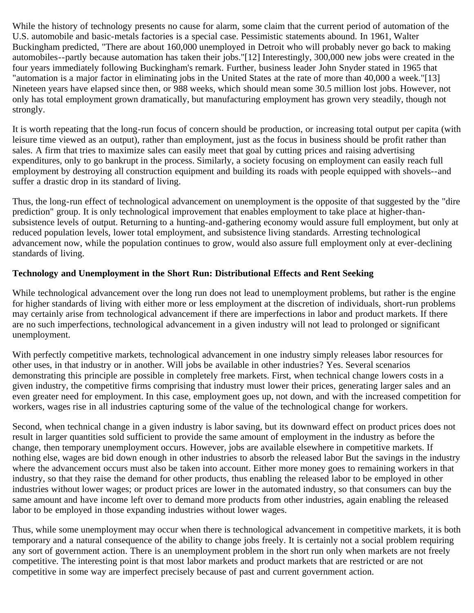While the history of technology presents no cause for alarm, some claim that the current period of automation of the U.S. automobile and basic-metals factories is a special case. Pessimistic statements abound. In 1961, Walter Buckingham predicted, "There are about 160,000 unemployed in Detroit who will probably never go back to making automobiles--partly because automation has taken their jobs."[12] Interestingly, 300,000 new jobs were created in the four years immediately following Buckingham's remark. Further, business leader John Snyder stated in 1965 that "automation is a major factor in eliminating jobs in the United States at the rate of more than 40,000 a week."[13] Nineteen years have elapsed since then, or 988 weeks, which should mean some 30.5 million lost jobs. However, not only has total employment grown dramatically, but manufacturing employment has grown very steadily, though not strongly.

It is worth repeating that the long-run focus of concern should be production, or increasing total output per capita (with leisure time viewed as an output), rather than employment, just as the focus in business should be profit rather than sales. A firm that tries to maximize sales can easily meet that goal by cutting prices and raising advertising expenditures, only to go bankrupt in the process. Similarly, a society focusing on employment can easily reach full employment by destroying all construction equipment and building its roads with people equipped with shovels--and suffer a drastic drop in its standard of living.

Thus, the long-run effect of technological advancement on unemployment is the opposite of that suggested by the "dire prediction" group. It is only technological improvement that enables employment to take place at higher-thansubsistence levels of output. Returning to a hunting-and-gathering economy would assure full employment, but only at reduced population levels, lower total employment, and subsistence living standards. Arresting technological advancement now, while the population continues to grow, would also assure full employment only at ever-declining standards of living.

## **Technology and Unemployment in the Short Run: Distributional Effects and Rent Seeking**

While technological advancement over the long run does not lead to unemployment problems, but rather is the engine for higher standards of living with either more or less employment at the discretion of individuals, short-run problems may certainly arise from technological advancement if there are imperfections in labor and product markets. If there are no such imperfections, technological advancement in a given industry will not lead to prolonged or significant unemployment.

With perfectly competitive markets, technological advancement in one industry simply releases labor resources for other uses, in that industry or in another. Will jobs be available in other industries? Yes. Several scenarios demonstrating this principle are possible in completely free markets. First, when technical change lowers costs in a given industry, the competitive firms comprising that industry must lower their prices, generating larger sales and an even greater need for employment. In this case, employment goes up, not down, and with the increased competition for workers, wages rise in all industries capturing some of the value of the technological change for workers.

Second, when technical change in a given industry is labor saving, but its downward effect on product prices does not result in larger quantities sold sufficient to provide the same amount of employment in the industry as before the change, then temporary unemployment occurs. However, jobs are available elsewhere in competitive markets. If nothing else, wages are bid down enough in other industries to absorb the released labor But the savings in the industry where the advancement occurs must also be taken into account. Either more money goes to remaining workers in that industry, so that they raise the demand for other products, thus enabling the released labor to be employed in other industries without lower wages; or product prices are lower in the automated industry, so that consumers can buy the same amount and have income left over to demand more products from other industries, again enabling the released labor to be employed in those expanding industries without lower wages.

Thus, while some unemployment may occur when there is technological advancement in competitive markets, it is both temporary and a natural consequence of the ability to change jobs freely. It is certainly not a social problem requiring any sort of government action. There is an unemployment problem in the short run only when markets are not freely competitive. The interesting point is that most labor markets and product markets that are restricted or are not competitive in some way are imperfect precisely because of past and current government action.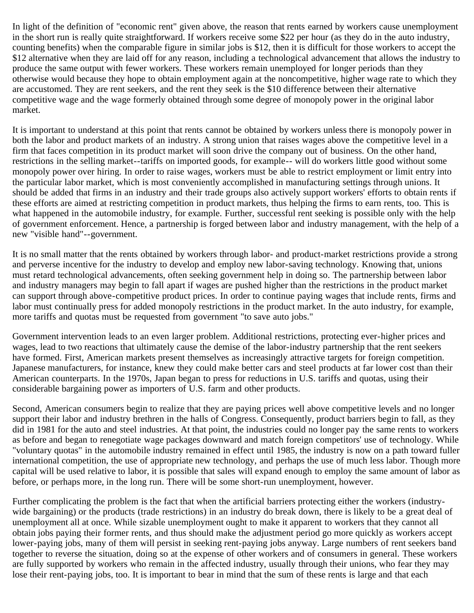In light of the definition of "economic rent" given above, the reason that rents earned by workers cause unemployment in the short run is really quite straightforward. If workers receive some \$22 per hour (as they do in the auto industry, counting benefits) when the comparable figure in similar jobs is \$12, then it is difficult for those workers to accept the \$12 alternative when they are laid off for any reason, including a technological advancement that allows the industry to produce the same output with fewer workers. These workers remain unemployed for longer periods than they otherwise would because they hope to obtain employment again at the noncompetitive, higher wage rate to which they are accustomed. They are rent seekers, and the rent they seek is the \$10 difference between their alternative competitive wage and the wage formerly obtained through some degree of monopoly power in the original labor market.

It is important to understand at this point that rents cannot be obtained by workers unless there is monopoly power in both the labor and product markets of an industry. A strong union that raises wages above the competitive level in a firm that faces competition in its product market will soon drive the company out of business. On the other hand, restrictions in the selling market--tariffs on imported goods, for example-- will do workers little good without some monopoly power over hiring. In order to raise wages, workers must be able to restrict employment or limit entry into the particular labor market, which is most conveniently accomplished in manufacturing settings through unions. It should be added that firms in an industry and their trade groups also actively support workers' efforts to obtain rents if these efforts are aimed at restricting competition in product markets, thus helping the firms to earn rents, too. This is what happened in the automobile industry, for example. Further, successful rent seeking is possible only with the help of government enforcement. Hence, a partnership is forged between labor and industry management, with the help of a new "visible hand"--government.

It is no small matter that the rents obtained by workers through labor- and product-market restrictions provide a strong and perverse incentive for the industry to develop and employ new labor-saving technology. Knowing that, unions must retard technological advancements, often seeking government help in doing so. The partnership between labor and industry managers may begin to fall apart if wages are pushed higher than the restrictions in the product market can support through above-competitive product prices. In order to continue paying wages that include rents, firms and labor must continually press for added monopoly restrictions in the product market. In the auto industry, for example, more tariffs and quotas must be requested from government "to save auto jobs."

Government intervention leads to an even larger problem. Additional restrictions, protecting ever-higher prices and wages, lead to two reactions that ultimately cause the demise of the labor-industry partnership that the rent seekers have formed. First, American markets present themselves as increasingly attractive targets for foreign competition. Japanese manufacturers, for instance, knew they could make better cars and steel products at far lower cost than their American counterparts. In the 1970s, Japan began to press for reductions in U.S. tariffs and quotas, using their considerable bargaining power as importers of U.S. farm and other products.

Second, American consumers begin to realize that they are paying prices well above competitive levels and no longer support their labor and industry brethren in the halls of Congress. Consequently, product barriers begin to fall, as they did in 1981 for the auto and steel industries. At that point, the industries could no longer pay the same rents to workers as before and began to renegotiate wage packages downward and match foreign competitors' use of technology. While "voluntary quotas" in the automobile industry remained in effect until 1985, the industry is now on a path toward fuller international competition, the use of appropriate new technology, and perhaps the use of much less labor. Though more capital will be used relative to labor, it is possible that sales will expand enough to employ the same amount of labor as before, or perhaps more, in the long run. There will be some short-run unemployment, however.

Further complicating the problem is the fact that when the artificial barriers protecting either the workers (industrywide bargaining) or the products (trade restrictions) in an industry do break down, there is likely to be a great deal of unemployment all at once. While sizable unemployment ought to make it apparent to workers that they cannot all obtain jobs paying their former rents, and thus should make the adjustment period go more quickly as workers accept lower-paying jobs, many of them will persist in seeking rent-paying jobs anyway. Large numbers of rent seekers band together to reverse the situation, doing so at the expense of other workers and of consumers in general. These workers are fully supported by workers who remain in the affected industry, usually through their unions, who fear they may lose their rent-paying jobs, too. It is important to bear in mind that the sum of these rents is large and that each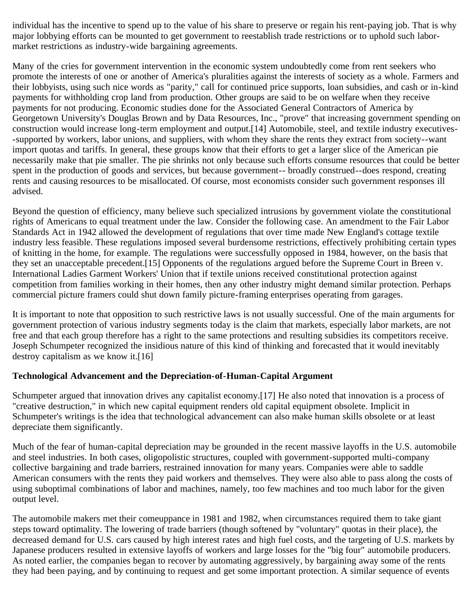individual has the incentive to spend up to the value of his share to preserve or regain his rent-paying job. That is why major lobbying efforts can be mounted to get government to reestablish trade restrictions or to uphold such labormarket restrictions as industry-wide bargaining agreements.

Many of the cries for government intervention in the economic system undoubtedly come from rent seekers who promote the interests of one or another of America's pluralities against the interests of society as a whole. Farmers and their lobbyists, using such nice words as "parity," call for continued price supports, loan subsidies, and cash or in-kind payments for withholding crop land from production. Other groups are said to be on welfare when they receive payments for not producing. Economic studies done for the Associated General Contractors of America by Georgetown University's Douglas Brown and by Data Resources, Inc., "prove" that increasing government spending on construction would increase long-term employment and output.[14] Automobile, steel, and textile industry executives- -supported by workers, labor unions, and suppliers, with whom they share the rents they extract from society--want import quotas and tariffs. In general, these groups know that their efforts to get a larger slice of the American pie necessarily make that pie smaller. The pie shrinks not only because such efforts consume resources that could be better spent in the production of goods and services, but because government-- broadly construed--does respond, creating rents and causing resources to be misallocated. Of course, most economists consider such government responses ill advised.

Beyond the question of efficiency, many believe such specialized intrusions by government violate the constitutional rights of Americans to equal treatment under the law. Consider the following case. An amendment to the Fair Labor Standards Act in 1942 allowed the development of regulations that over time made New England's cottage textile industry less feasible. These regulations imposed several burdensome restrictions, effectively prohibiting certain types of knitting in the home, for example. The regulations were successfully opposed in 1984, however, on the basis that they set an unacceptable precedent.[15] Opponents of the regulations argued before the Supreme Court in Breen v. International Ladies Garment Workers' Union that if textile unions received constitutional protection against competition from families working in their homes, then any other industry might demand similar protection. Perhaps commercial picture framers could shut down family picture-framing enterprises operating from garages.

It is important to note that opposition to such restrictive laws is not usually successful. One of the main arguments for government protection of various industry segments today is the claim that markets, especially labor markets, are not free and that each group therefore has a right to the same protections and resulting subsidies its competitors receive. Joseph Schumpeter recognized the insidious nature of this kind of thinking and forecasted that it would inevitably destroy capitalism as we know it.[16]

#### **Technological Advancement and the Depreciation-of-Human-Capital Argument**

Schumpeter argued that innovation drives any capitalist economy.[17] He also noted that innovation is a process of "creative destruction," in which new capital equipment renders old capital equipment obsolete. Implicit in Schumpeter's writings is the idea that technological advancement can also make human skills obsolete or at least depreciate them significantly.

Much of the fear of human-capital depreciation may be grounded in the recent massive layoffs in the U.S. automobile and steel industries. In both cases, oligopolistic structures, coupled with government-supported multi-company collective bargaining and trade barriers, restrained innovation for many years. Companies were able to saddle American consumers with the rents they paid workers and themselves. They were also able to pass along the costs of using suboptimal combinations of labor and machines, namely, too few machines and too much labor for the given output level.

The automobile makers met their comeuppance in 1981 and 1982, when circumstances required them to take giant steps toward optimality. The lowering of trade barriers (though softened by "voluntary" quotas in their place), the decreased demand for U.S. cars caused by high interest rates and high fuel costs, and the targeting of U.S. markets by Japanese producers resulted in extensive layoffs of workers and large losses for the "big four" automobile producers. As noted earlier, the companies began to recover by automating aggressively, by bargaining away some of the rents they had been paying, and by continuing to request and get some important protection. A similar sequence of events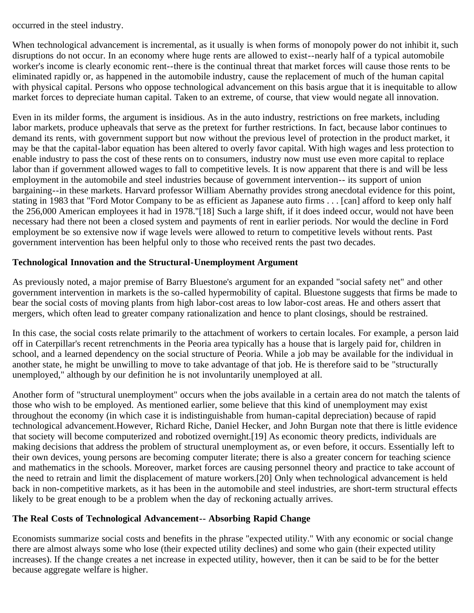occurred in the steel industry.

When technological advancement is incremental, as it usually is when forms of monopoly power do not inhibit it, such disruptions do not occur. In an economy where huge rents are allowed to exist--nearly half of a typical automobile worker's income is clearly economic rent--there is the continual threat that market forces will cause those rents to be eliminated rapidly or, as happened in the automobile industry, cause the replacement of much of the human capital with physical capital. Persons who oppose technological advancement on this basis argue that it is inequitable to allow market forces to depreciate human capital. Taken to an extreme, of course, that view would negate all innovation.

Even in its milder forms, the argument is insidious. As in the auto industry, restrictions on free markets, including labor markets, produce upheavals that serve as the pretext for further restrictions. In fact, because labor continues to demand its rents, with government support but now without the previous level of protection in the product market, it may be that the capital-labor equation has been altered to overly favor capital. With high wages and less protection to enable industry to pass the cost of these rents on to consumers, industry now must use even more capital to replace labor than if government allowed wages to fall to competitive levels. It is now apparent that there is and will be less employment in the automobile and steel industries because of government intervention-- its support of union bargaining--in these markets. Harvard professor William Abernathy provides strong anecdotal evidence for this point, stating in 1983 that "Ford Motor Company to be as efficient as Japanese auto firms . . . [can] afford to keep only half the 256,000 American employees it had in 1978."[18] Such a large shift, if it does indeed occur, would not have been necessary had there not been a closed system and payments of rent in earlier periods. Nor would the decline in Ford employment be so extensive now if wage levels were allowed to return to competitive levels without rents. Past government intervention has been helpful only to those who received rents the past two decades.

## **Technological Innovation and the Structural-Unemployment Argument**

As previously noted, a major premise of Barry Bluestone's argument for an expanded "social safety net" and other government intervention in markets is the so-called hypermobility of capital. Bluestone suggests that firms be made to bear the social costs of moving plants from high labor-cost areas to low labor-cost areas. He and others assert that mergers, which often lead to greater company rationalization and hence to plant closings, should be restrained.

In this case, the social costs relate primarily to the attachment of workers to certain locales. For example, a person laid off in Caterpillar's recent retrenchments in the Peoria area typically has a house that is largely paid for, children in school, and a learned dependency on the social structure of Peoria. While a job may be available for the individual in another state, he might be unwilling to move to take advantage of that job. He is therefore said to be "structurally unemployed," although by our definition he is not involuntarily unemployed at all.

Another form of "structural unemployment" occurs when the jobs available in a certain area do not match the talents of those who wish to be employed. As mentioned earlier, some believe that this kind of unemployment may exist throughout the economy (in which case it is indistinguishable from human-capital depreciation) because of rapid technological advancement.However, Richard Riche, Daniel Hecker, and John Burgan note that there is little evidence that society will become computerized and robotized overnight.[19] As economic theory predicts, individuals are making decisions that address the problem of structural unemployment as, or even before, it occurs. Essentially left to their own devices, young persons are becoming computer literate; there is also a greater concern for teaching science and mathematics in the schools. Moreover, market forces are causing personnel theory and practice to take account of the need to retrain and limit the displacement of mature workers.[20] Only when technological advancement is held back in non-competitive markets, as it has been in the automobile and steel industries, are short-term structural effects likely to be great enough to be a problem when the day of reckoning actually arrives.

#### **The Real Costs of Technological Advancement-- Absorbing Rapid Change**

Economists summarize social costs and benefits in the phrase "expected utility." With any economic or social change there are almost always some who lose (their expected utility declines) and some who gain (their expected utility increases). If the change creates a net increase in expected utility, however, then it can be said to be for the better because aggregate welfare is higher.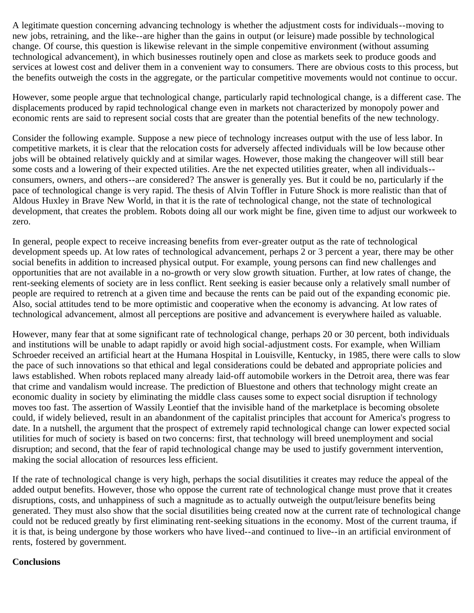A legitimate question concerning advancing technology is whether the adjustment costs for individuals--moving to new jobs, retraining, and the like--are higher than the gains in output (or leisure) made possible by technological change. Of course, this question is likewise relevant in the simple conpemitive environment (without assuming technological advancement), in which businesses routinely open and close as markets seek to produce goods and services at lowest cost and deliver them in a convenient way to consumers. There are obvious costs to this process, but the benefits outweigh the costs in the aggregate, or the particular competitive movements would not continue to occur.

However, some people argue that technological change, particularly rapid technological change, is a different case. The displacements produced by rapid technological change even in markets not characterized by monopoly power and economic rents are said to represent social costs that are greater than the potential benefits of the new technology.

Consider the following example. Suppose a new piece of technology increases output with the use of less labor. In competitive markets, it is clear that the relocation costs for adversely affected individuals will be low because other jobs will be obtained relatively quickly and at similar wages. However, those making the changeover will still bear some costs and a lowering of their expected utilities. Are the net expected utilities greater, when all individuals- consumers, owners, and others--are considered? The answer is generally yes. But it could be no, particularly if the pace of technological change is very rapid. The thesis of Alvin Toffler in Future Shock is more realistic than that of Aldous Huxley in Brave New World, in that it is the rate of technological change, not the state of technological development, that creates the problem. Robots doing all our work might be fine, given time to adjust our workweek to zero.

In general, people expect to receive increasing benefits from ever-greater output as the rate of technological development speeds up. At low rates of technological advancement, perhaps 2 or 3 percent a year, there may be other social benefits in addition to increased physical output. For example, young persons can find new challenges and opportunities that are not available in a no-growth or very slow growth situation. Further, at low rates of change, the rent-seeking elements of society are in less conflict. Rent seeking is easier because only a relatively small number of people are required to retrench at a given time and because the rents can be paid out of the expanding economic pie. Also, social attitudes tend to be more optimistic and cooperative when the economy is advancing. At low rates of technological advancement, almost all perceptions are positive and advancement is everywhere hailed as valuable.

However, many fear that at some significant rate of technological change, perhaps 20 or 30 percent, both individuals and institutions will be unable to adapt rapidly or avoid high social-adjustment costs. For example, when William Schroeder received an artificial heart at the Humana Hospital in Louisville, Kentucky, in 1985, there were calls to slow the pace of such innovations so that ethical and legal considerations could be debated and appropriate policies and laws established. When robots replaced many already laid-off automobile workers in the Detroit area, there was fear that crime and vandalism would increase. The prediction of Bluestone and others that technology might create an economic duality in society by eliminating the middle class causes some to expect social disruption if technology moves too fast. The assertion of Wassily Leontief that the invisible hand of the marketplace is becoming obsolete could, if widely believed, result in an abandonment of the capitalist principles that account for America's progress to date. In a nutshell, the argument that the prospect of extremely rapid technological change can lower expected social utilities for much of society is based on two concerns: first, that technology will breed unemployment and social disruption; and second, that the fear of rapid technological change may be used to justify government intervention, making the social allocation of resources less efficient.

If the rate of technological change is very high, perhaps the social disutilities it creates may reduce the appeal of the added output benefits. However, those who oppose the current rate of technological change must prove that it creates disruptions, costs, and unhappiness of such a magnitude as to actually outweigh the output/leisure benefits being generated. They must also show that the social disutilities being created now at the current rate of technological change could not be reduced greatly by first eliminating rent-seeking situations in the economy. Most of the current trauma, if it is that, is being undergone by those workers who have lived--and continued to live--in an artificial environment of rents, fostered by government.

#### **Conclusions**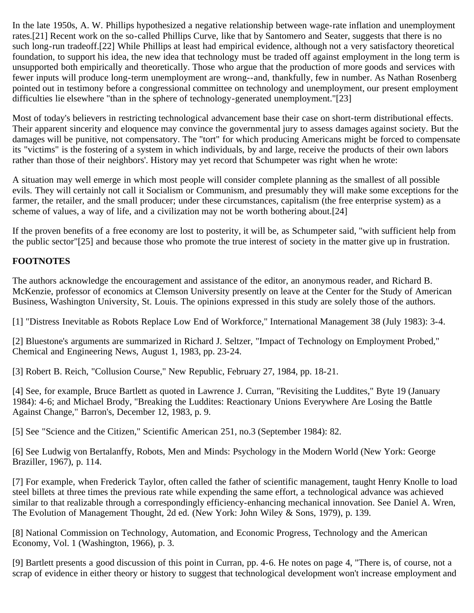In the late 1950s, A. W. Phillips hypothesized a negative relationship between wage-rate inflation and unemployment rates.[21] Recent work on the so-called Phillips Curve, like that by Santomero and Seater, suggests that there is no such long-run tradeoff.[22] While Phillips at least had empirical evidence, although not a very satisfactory theoretical foundation, to support his idea, the new idea that technology must be traded off against employment in the long term is unsupported both empirically and theoretically. Those who argue that the production of more goods and services with fewer inputs will produce long-term unemployment are wrong--and, thankfully, few in number. As Nathan Rosenberg pointed out in testimony before a congressional committee on technology and unemployment, our present employment difficulties lie elsewhere "than in the sphere of technology-generated unemployment."[23]

Most of today's believers in restricting technological advancement base their case on short-term distributional effects. Their apparent sincerity and eloquence may convince the governmental jury to assess damages against society. But the damages will be punitive, not compensatory. The "tort" for which producing Americans might be forced to compensate its "victims" is the fostering of a system in which individuals, by and large, receive the products of their own labors rather than those of their neighbors'. History may yet record that Schumpeter was right when he wrote:

A situation may well emerge in which most people will consider complete planning as the smallest of all possible evils. They will certainly not call it Socialism or Communism, and presumably they will make some exceptions for the farmer, the retailer, and the small producer; under these circumstances, capitalism (the free enterprise system) as a scheme of values, a way of life, and a civilization may not be worth bothering about.[24]

If the proven benefits of a free economy are lost to posterity, it will be, as Schumpeter said, "with sufficient help from the public sector"[25] and because those who promote the true interest of society in the matter give up in frustration.

## **FOOTNOTES**

The authors acknowledge the encouragement and assistance of the editor, an anonymous reader, and Richard B. McKenzie, professor of economics at Clemson University presently on leave at the Center for the Study of American Business, Washington University, St. Louis. The opinions expressed in this study are solely those of the authors.

[1] "Distress Inevitable as Robots Replace Low End of Workforce," International Management 38 (July 1983): 3-4.

[2] Bluestone's arguments are summarized in Richard J. Seltzer, "Impact of Technology on Employment Probed," Chemical and Engineering News, August 1, 1983, pp. 23-24.

[3] Robert B. Reich, "Collusion Course," New Republic, February 27, 1984, pp. 18-21.

[4] See, for example, Bruce Bartlett as quoted in Lawrence J. Curran, "Revisiting the Luddites," Byte 19 (January 1984): 4-6; and Michael Brody, "Breaking the Luddites: Reactionary Unions Everywhere Are Losing the Battle Against Change," Barron's, December 12, 1983, p. 9.

[5] See "Science and the Citizen," Scientific American 251, no.3 (September 1984): 82.

[6] See Ludwig von Bertalanffy, Robots, Men and Minds: Psychology in the Modern World (New York: George Braziller, 1967), p. 114.

[7] For example, when Frederick Taylor, often called the father of scientific management, taught Henry Knolle to load steel billets at three times the previous rate while expending the same effort, a technological advance was achieved similar to that realizable through a correspondingly efficiency-enhancing mechanical innovation. See Daniel A. Wren, The Evolution of Management Thought, 2d ed. (New York: John Wiley & Sons, 1979), p. 139.

[8] National Commission on Technology, Automation, and Economic Progress, Technology and the American Economy, Vol. 1 (Washington, 1966), p. 3.

[9] Bartlett presents a good discussion of this point in Curran, pp. 4-6. He notes on page 4, "There is, of course, not a scrap of evidence in either theory or history to suggest that technological development won't increase employment and